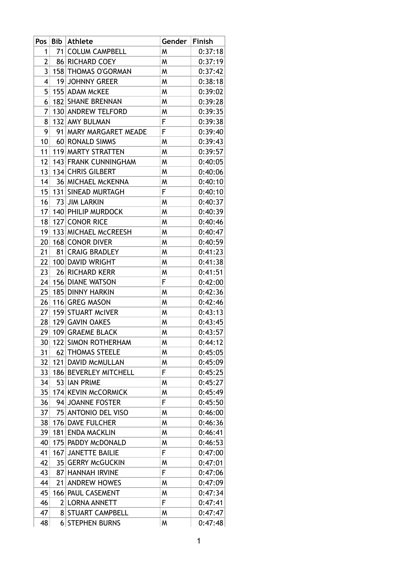| Pos             | Bib | <b>Athlete</b>            | Gender | Finish  |
|-----------------|-----|---------------------------|--------|---------|
| 1               |     | 71 COLUM CAMPBELL         | W      | 0:37:18 |
| 2               |     | 86 RICHARD COEY           | W      | 0:37:19 |
| 3               |     | 158 THOMAS O'GORMAN       | W      | 0:37:42 |
| 4               |     | 19 JOHNNY GREER           | W      | 0:38:18 |
| 5               |     | 155 ADAM MCKEE            | W      | 0:39:02 |
| 6               |     | 182 SHANE BRENNAN         | W      | 0:39:28 |
| 7               |     | 130 ANDREW TELFORD        | W      | 0:39:35 |
| 8               |     | 132 AMY BULMAN            | F      | 0:39:38 |
| 9               |     | 91 MARY MARGARET MEADE    | F      | 0:39:40 |
| 10              |     | 60 RONALD SIMMS           | W      | 0:39:43 |
| 11              |     | 119 MARTY STRATTEN        | W      | 0:39:57 |
| 12              |     | 143 FRANK CUNNINGHAM      | W      | 0:40:05 |
| 13              |     | 134 CHRIS GILBERT         | W      | 0:40:06 |
| 14              |     | <b>36 MICHAEL MCKENNA</b> | W      | 0:40:10 |
| 15              |     | 131   SINEAD MURTAGH      | F      | 0:40:10 |
| 16              |     | 73 JIM LARKIN             | W      | 0:40:37 |
|                 |     | 17   140   PHILIP MURDOCK | W      | 0:40:39 |
| 18              |     | 127 CONOR RICE            | W      | 0:40:46 |
| 19              |     | 133 MICHAEL McCREESH      | W      | 0:40:47 |
| 20 <sup>1</sup> |     | 168 CONOR DIVER           | W      | 0:40:59 |
| 21              |     | 81 CRAIG BRADLEY          | W      | 0:41:23 |
| 22              |     | 100 DAVID WRIGHT          | W      | 0:41:38 |
| 23              |     | 26 RICHARD KERR           | W      | 0:41:51 |
| 24              |     | <b>156 DIANE WATSON</b>   | F      | 0:42:00 |
| 25              |     | 185 DINNY HARKIN          | W      | 0:42:36 |
| 26              |     | 116 GREG MASON            | W      | 0:42:46 |
| 27              |     | 159 STUART MCIVER         | W      | 0:43:13 |
| 28              |     | 129 GAVIN OAKES           | W      | 0:43:45 |
| 29 <sup>2</sup> |     | 109 GRAEME BLACK          | W      | 0:43:57 |
| 30 <sup>1</sup> |     | 122 SIMON ROTHERHAM       | W      | 0:44:12 |
| 31              |     | 62 THOMAS STEELE          | W      | 0:45:05 |
| 32              |     | 121 DAVID MCMULLAN        | W      | 0:45:09 |
| 33              |     | 186 BEVERLEY MITCHELL     | F      | 0:45:25 |
| 34              |     | 53 IAN PRIME              | W      | 0:45:27 |
| 35              |     | 174 KEVIN McCORMICK       | W      | 0:45:49 |
| 36              |     | 94 JOANNE FOSTER          | F      | 0:45:50 |
| 37              |     | 75 ANTONIO DEL VISO       | W      | 0:46:00 |
| 38              |     | 176 DAVE FULCHER          | W      | 0:46:36 |
| 39              |     | 181 ENDA MACKLIN          | W      | 0:46:41 |
| 40              |     | 175 PADDY MCDONALD        | W      | 0:46:53 |
| 41              |     | 167 JANETTE BAILIE        | F      | 0:47:00 |
| 42              |     | 35 GERRY McGUCKIN         | W      | 0:47:01 |
| 43              |     | 87 HANNAH IRVINE          | F      | 0:47:06 |
| 44              |     | 21 ANDREW HOWES           | W      | 0:47:09 |
| 45              |     | 166 PAUL CASEMENT         | W      | 0:47:34 |
| 46              |     | 2 LORNA ANNETT            | F      | 0:47:41 |
| 47              |     | <b>8 STUART CAMPBELL</b>  | W      | 0:47:47 |
| 48              |     | <b>6 STEPHEN BURNS</b>    | W      | 0:47:48 |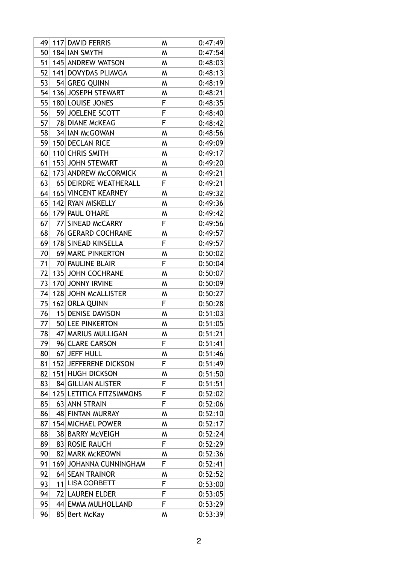| 49 | 117 DAVID FERRIS         | W | 0:47:49 |
|----|--------------------------|---|---------|
| 50 | 184 IAN SMYTH            | W | 0:47:54 |
| 51 | 145 ANDREW WATSON        | W | 0:48:03 |
| 52 | 141 DOVYDAS PLIAVGA      | W | 0:48:13 |
| 53 | 54 GREG QUINN            | W | 0:48:19 |
| 54 | 136 JOSEPH STEWART       | W | 0:48:21 |
| 55 | 180 LOUISE JONES         | F | 0:48:35 |
| 56 | 59 JOELENE SCOTT         | F | 0:48:40 |
| 57 | 78 DIANE MCKEAG          | F | 0:48:42 |
| 58 | 34 IAN McGOWAN           | W | 0:48:56 |
| 59 | 150 DECLAN RICE          | W | 0:49:09 |
| 60 | 110 CHRIS SMITH          | W | 0:49:17 |
| 61 | 153 JOHN STEWART         | W | 0:49:20 |
| 62 | 173 ANDREW McCORMICK     | W | 0:49:21 |
| 63 | 65 DEIRDRE WEATHERALL    | F | 0:49:21 |
| 64 | 165 VINCENT KEARNEY      | W | 0:49:32 |
| 65 | 142 RYAN MISKELLY        | W | 0:49:36 |
| 66 | 179 PAUL O'HARE          | W | 0:49:42 |
| 67 | 77 SINEAD MCCARRY        | F | 0:49:56 |
| 68 | 76 GERARD COCHRANE       | W | 0:49:57 |
| 69 | 178 SINEAD KINSELLA      | F | 0:49:57 |
| 70 | 69 MARC PINKERTON        | W | 0:50:02 |
| 71 | 70 PAULINE BLAIR         | F | 0:50:04 |
| 72 | 135 JOHN COCHRANE        | W | 0:50:07 |
| 73 | 170 JONNY IRVINE         | W | 0:50:09 |
| 74 | 128 JOHN MCALLISTER      | W | 0:50:27 |
| 75 | 162 ORLA QUINN           | F | 0:50:28 |
| 76 | 15 DENISE DAVISON        | W | 0:51:03 |
| 77 | 50 LEE PINKERTON         | W | 0:51:05 |
| 78 | 47 MARIUS MULLIGAN       | W | 0:51:21 |
| 79 | 96 CLARE CARSON          | F | 0:51:41 |
| 80 | 67 JEFF HULL             | W | 0:51:46 |
| 81 | 152 JEFFERENE DICKSON    | F | 0:51:49 |
| 82 | 151 HUGH DICKSON         | W | 0:51:50 |
| 83 | 84 GILLIAN ALISTER       | F | 0:51:51 |
| 84 | 125 LETITICA FITZSIMMONS | F | 0:52:02 |
| 85 | 63 ANN STRAIN            | F | 0:52:06 |
| 86 | 48 FINTAN MURRAY         | W | 0:52:10 |
| 87 | 154 MICHAEL POWER        | W | 0:52:17 |
| 88 | 38 BARRY McVEIGH         | W | 0:52:24 |
| 89 | 83 ROSIE RAUCH           | F | 0:52:29 |
| 90 | 82 MARK McKEOWN          | W | 0:52:36 |
| 91 | 169 JOHANNA CUNNINGHAM   | F | 0:52:41 |
| 92 | 64 SEAN TRAINOR          | W | 0:52:52 |
| 93 | 11 LISA CORBETT          | F | 0:53:00 |
| 94 | 72 LAUREN ELDER          | F | 0:53:05 |
| 95 | 44 EMMA MULHOLLAND       | F | 0:53:29 |
| 96 | 85 Bert McKay            | W | 0:53:39 |
|    |                          |   |         |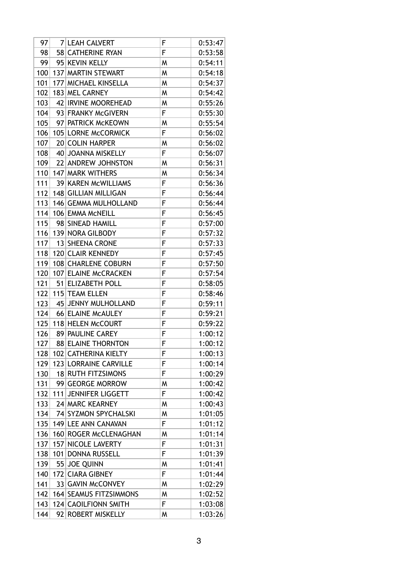| 97  |    | 7 LEAH CALVERT          | F      | 0:53:47 |
|-----|----|-------------------------|--------|---------|
| 98  |    | 58 CATHERINE RYAN       | F      | 0:53:58 |
| 99  |    | 95 KEVIN KELLY          | W      | 0:54:11 |
| 100 |    | 137 MARTIN STEWART      | W      | 0:54:18 |
| 101 |    | 177 MICHAEL KINSELLA    | W      | 0:54:37 |
| 102 |    | 183 MEL CARNEY          | W      | 0:54:42 |
| 103 |    | 42 IRVINE MOOREHEAD     | W      | 0:55:26 |
| 104 |    | 93 FRANKY McGIVERN      | F      | 0:55:30 |
| 105 |    | 97 PATRICK McKEOWN      | W      | 0:55:54 |
| 106 |    | 105 LORNE McCORMICK     | F      | 0:56:02 |
| 107 |    | 20 COLIN HARPER         | W      | 0:56:02 |
| 108 |    | 40 JOANNA MISKELLY      | F      | 0:56:07 |
| 109 |    | 22 ANDREW JOHNSTON      | W      | 0:56:31 |
| 110 |    | 147 MARK WITHERS        | W      | 0:56:34 |
| 111 |    | 39 KAREN MCWILLIAMS     | F      | 0:56:36 |
| 112 |    | 148 GILLIAN MILLIGAN    | F      | 0:56:44 |
| 113 |    | 146 GEMMA MULHOLLAND    | F      | 0:56:44 |
| 114 |    | 106 EMMA MCNEILL        | F      | 0:56:45 |
| 115 |    | 98 SINEAD HAMILL        | F      | 0:57:00 |
| 116 |    | 139 NORA GILBODY        | F      | 0:57:32 |
| 117 |    | 13 SHEENA CRONE         | F      | 0:57:33 |
| 118 |    | 120 CLAIR KENNEDY       | F      | 0:57:45 |
| 119 |    | 108 CHARLENE COBURN     | F      | 0:57:50 |
| 120 |    | 107 ELAINE MCCRACKEN    | F      | 0:57:54 |
| 121 |    | 51 ELIZABETH POLL       | F      | 0:58:05 |
| 122 |    | 115 TEAM ELLEN          | F      | 0:58:46 |
| 123 | 45 | <b>JENNY MULHOLLAND</b> | F      | 0:59:11 |
| 124 |    | 66 ELAINE MCAULEY       | F      | 0:59:21 |
| 125 |    | 118 HELEN McCOURT       | F      | 0:59:22 |
| 126 |    | 89 PAULINE CAREY        | F      | 1:00:12 |
| 127 |    | 88 ELAINE THORNTON      | F      | 1:00:12 |
| 128 |    | 102 CATHERINA KIELTY    | F      | 1:00:13 |
| 129 |    | 123 LORRAINE CARVILLE   | F      | 1:00:14 |
| 130 |    | 18 RUTH FITZSIMONS      | F      |         |
|     |    | 99 GEORGE MORROW        |        | 1:00:29 |
| 131 |    |                         | W<br>F | 1:00:42 |
| 132 |    | 111 JENNIFER LIGGETT    |        | 1:00:42 |
| 133 |    | 24 MARC KEARNEY         | W      | 1:00:43 |
| 134 |    | 74 SYZMON SPYCHALSKI    | W      | 1:01:05 |
| 135 |    | 149 LEE ANN CANAVAN     | F      | 1:01:12 |
| 136 |    | 160 ROGER McCLENAGHAN   | W      | 1:01:14 |
| 137 |    | 157 NICOLE LAVERTY      | F      | 1:01:31 |
| 138 |    | 101 DONNA RUSSELL       | F      | 1:01:39 |
| 139 |    | 55 JOE QUINN            | W      | 1:01:41 |
| 140 |    | 172 CIARA GIBNEY        | F      | 1:01:44 |
| 141 |    | 33 GAVIN McCONVEY       | W      | 1:02:29 |
| 142 |    | 164 SEAMUS FITZSIMMONS  | W      | 1:02:52 |
| 143 |    | 124 CAOILFIONN SMITH    | F      | 1:03:08 |
| 144 |    | 92 ROBERT MISKELLY      | W      | 1:03:26 |